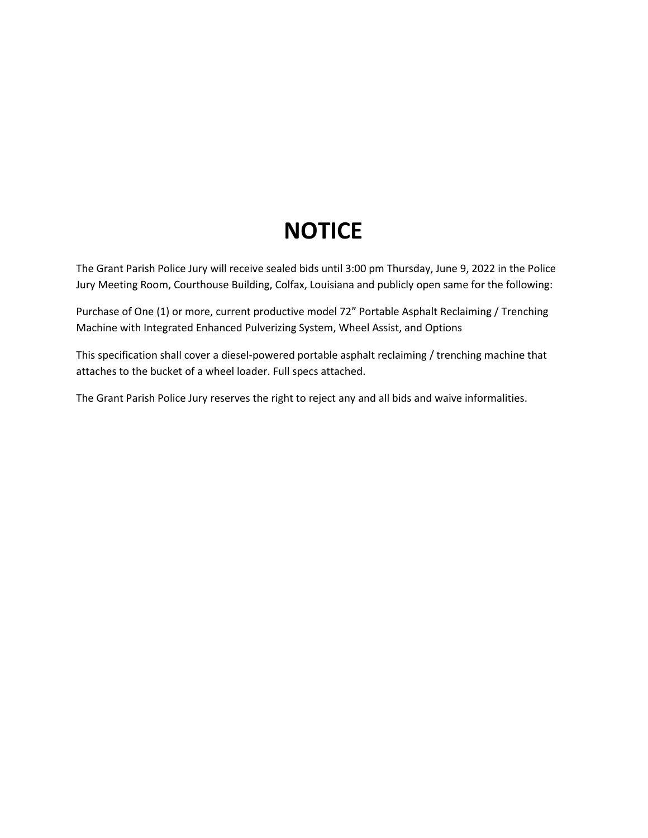## **NOTICE**

The Grant Parish Police Jury will receive sealed bids until 3:00 pm Thursday, June 9, 2022 in the Police Jury Meeting Room, Courthouse Building, Colfax, Louisiana and publicly open same for the following:

Purchase of One (1) or more, current productive model 72" Portable Asphalt Reclaiming / Trenching Machine with Integrated Enhanced Pulverizing System, Wheel Assist, and Options

This specification shall cover a diesel-powered portable asphalt reclaiming / trenching machine that attaches to the bucket of a wheel loader. Full specs attached.

The Grant Parish Police Jury reserves the right to reject any and all bids and waive informalities.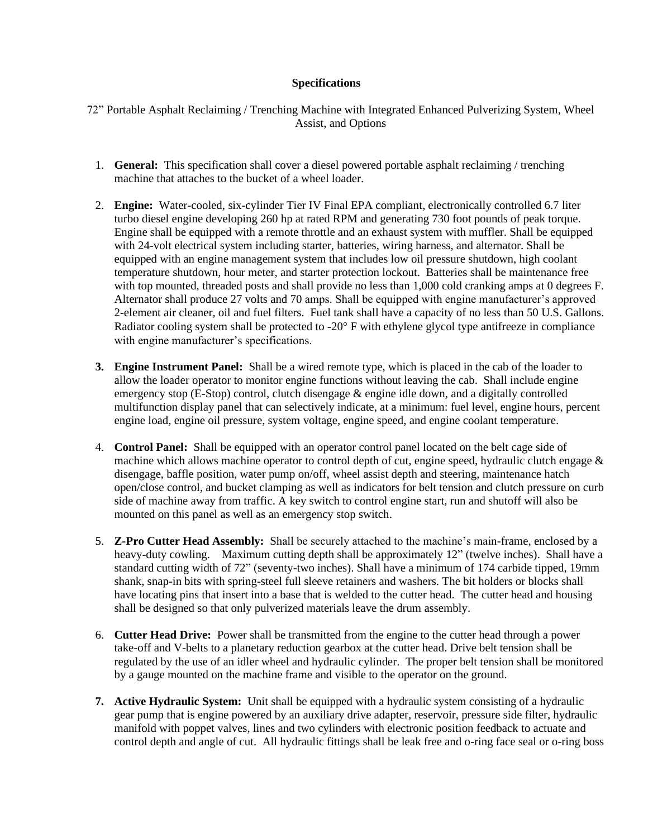## **Specifications**

72" Portable Asphalt Reclaiming / Trenching Machine with Integrated Enhanced Pulverizing System, Wheel Assist, and Options

- 1. **General:** This specification shall cover a diesel powered portable asphalt reclaiming / trenching machine that attaches to the bucket of a wheel loader.
- 2. **Engine:** Water-cooled, six-cylinder Tier IV Final EPA compliant, electronically controlled 6.7 liter turbo diesel engine developing 260 hp at rated RPM and generating 730 foot pounds of peak torque. Engine shall be equipped with a remote throttle and an exhaust system with muffler. Shall be equipped with 24-volt electrical system including starter, batteries, wiring harness, and alternator. Shall be equipped with an engine management system that includes low oil pressure shutdown, high coolant temperature shutdown, hour meter, and starter protection lockout. Batteries shall be maintenance free with top mounted, threaded posts and shall provide no less than 1,000 cold cranking amps at 0 degrees F. Alternator shall produce 27 volts and 70 amps. Shall be equipped with engine manufacturer's approved 2-element air cleaner, oil and fuel filters. Fuel tank shall have a capacity of no less than 50 U.S. Gallons. Radiator cooling system shall be protected to  $-20^\circ$  F with ethylene glycol type antifreeze in compliance with engine manufacturer's specifications.
- **3. Engine Instrument Panel:** Shall be a wired remote type, which is placed in the cab of the loader to allow the loader operator to monitor engine functions without leaving the cab. Shall include engine emergency stop (E-Stop) control, clutch disengage & engine idle down, and a digitally controlled multifunction display panel that can selectively indicate, at a minimum: fuel level, engine hours, percent engine load, engine oil pressure, system voltage, engine speed, and engine coolant temperature.
- 4. **Control Panel:** Shall be equipped with an operator control panel located on the belt cage side of machine which allows machine operator to control depth of cut, engine speed, hydraulic clutch engage & disengage, baffle position, water pump on/off, wheel assist depth and steering, maintenance hatch open/close control, and bucket clamping as well as indicators for belt tension and clutch pressure on curb side of machine away from traffic. A key switch to control engine start, run and shutoff will also be mounted on this panel as well as an emergency stop switch.
- 5. **Z-Pro Cutter Head Assembly:** Shall be securely attached to the machine's main-frame, enclosed by a heavy-duty cowling. Maximum cutting depth shall be approximately 12" (twelve inches). Shall have a standard cutting width of 72" (seventy-two inches). Shall have a minimum of 174 carbide tipped, 19mm shank, snap-in bits with spring-steel full sleeve retainers and washers. The bit holders or blocks shall have locating pins that insert into a base that is welded to the cutter head. The cutter head and housing shall be designed so that only pulverized materials leave the drum assembly.
- 6. **Cutter Head Drive:** Power shall be transmitted from the engine to the cutter head through a power take-off and V-belts to a planetary reduction gearbox at the cutter head. Drive belt tension shall be regulated by the use of an idler wheel and hydraulic cylinder. The proper belt tension shall be monitored by a gauge mounted on the machine frame and visible to the operator on the ground.
- **7. Active Hydraulic System:** Unit shall be equipped with a hydraulic system consisting of a hydraulic gear pump that is engine powered by an auxiliary drive adapter, reservoir, pressure side filter, hydraulic manifold with poppet valves, lines and two cylinders with electronic position feedback to actuate and control depth and angle of cut. All hydraulic fittings shall be leak free and o-ring face seal or o-ring boss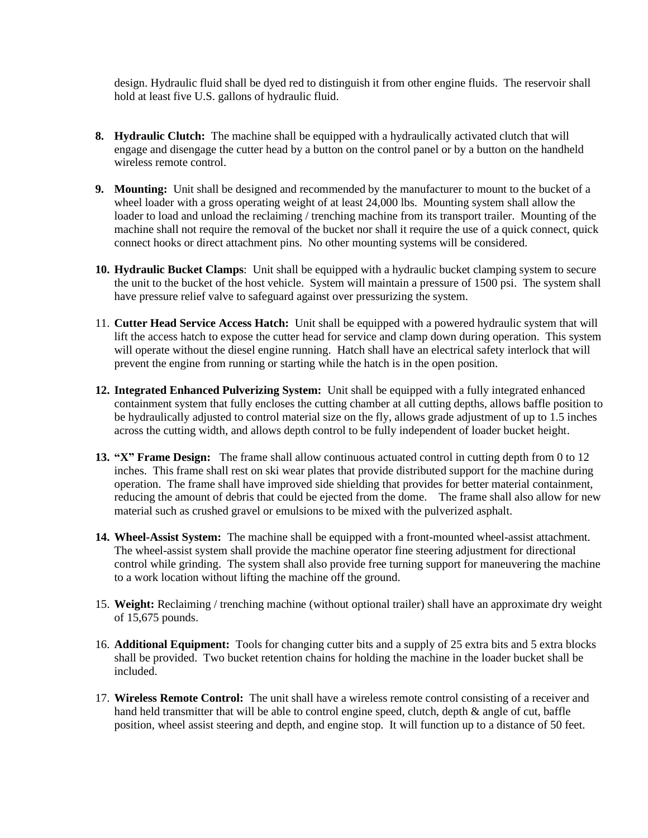design. Hydraulic fluid shall be dyed red to distinguish it from other engine fluids. The reservoir shall hold at least five U.S. gallons of hydraulic fluid.

- **8. Hydraulic Clutch:** The machine shall be equipped with a hydraulically activated clutch that will engage and disengage the cutter head by a button on the control panel or by a button on the handheld wireless remote control.
- **9. Mounting:** Unit shall be designed and recommended by the manufacturer to mount to the bucket of a wheel loader with a gross operating weight of at least 24,000 lbs. Mounting system shall allow the loader to load and unload the reclaiming / trenching machine from its transport trailer. Mounting of the machine shall not require the removal of the bucket nor shall it require the use of a quick connect, quick connect hooks or direct attachment pins. No other mounting systems will be considered.
- **10. Hydraulic Bucket Clamps**: Unit shall be equipped with a hydraulic bucket clamping system to secure the unit to the bucket of the host vehicle. System will maintain a pressure of 1500 psi. The system shall have pressure relief valve to safeguard against over pressurizing the system.
- 11. **Cutter Head Service Access Hatch:** Unit shall be equipped with a powered hydraulic system that will lift the access hatch to expose the cutter head for service and clamp down during operation. This system will operate without the diesel engine running. Hatch shall have an electrical safety interlock that will prevent the engine from running or starting while the hatch is in the open position.
- **12. Integrated Enhanced Pulverizing System:** Unit shall be equipped with a fully integrated enhanced containment system that fully encloses the cutting chamber at all cutting depths, allows baffle position to be hydraulically adjusted to control material size on the fly, allows grade adjustment of up to 1.5 inches across the cutting width, and allows depth control to be fully independent of loader bucket height.
- **13. "X" Frame Design:** The frame shall allow continuous actuated control in cutting depth from 0 to 12 inches. This frame shall rest on ski wear plates that provide distributed support for the machine during operation. The frame shall have improved side shielding that provides for better material containment, reducing the amount of debris that could be ejected from the dome. The frame shall also allow for new material such as crushed gravel or emulsions to be mixed with the pulverized asphalt.
- **14. Wheel-Assist System:** The machine shall be equipped with a front-mounted wheel-assist attachment. The wheel-assist system shall provide the machine operator fine steering adjustment for directional control while grinding. The system shall also provide free turning support for maneuvering the machine to a work location without lifting the machine off the ground.
- 15. **Weight:** Reclaiming / trenching machine (without optional trailer) shall have an approximate dry weight of 15,675 pounds.
- 16. **Additional Equipment:** Tools for changing cutter bits and a supply of 25 extra bits and 5 extra blocks shall be provided. Two bucket retention chains for holding the machine in the loader bucket shall be included.
- 17. **Wireless Remote Control:** The unit shall have a wireless remote control consisting of a receiver and hand held transmitter that will be able to control engine speed, clutch, depth & angle of cut, baffle position, wheel assist steering and depth, and engine stop. It will function up to a distance of 50 feet.